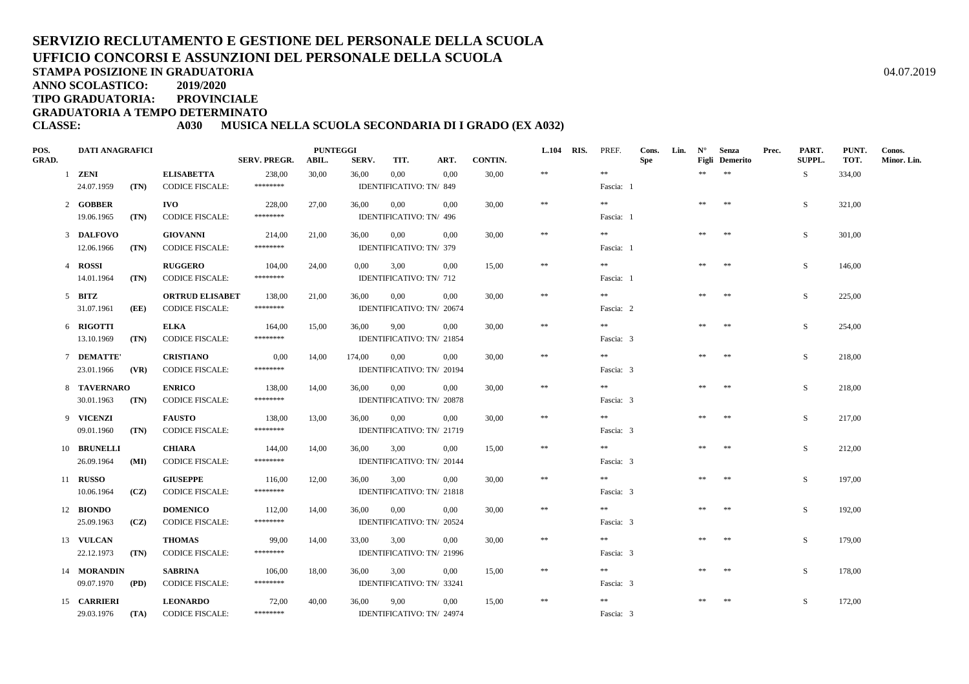# **SERVIZIO RECLUTAMENTO E GESTIONE DEL PERSONALE DELLA SCUOLAUFFICIO CONCORSI E ASSUNZIONI DEL PERSONALE DELLA SCUOLA**

**STAMPA POSIZIONE IN GRADUATORIA**

**ANNO SCOLASTICO:2019/2020**

**TIPO GRADUATORIA: PROVINCIALE**

**GRADUATORIA A TEMPO DETERMINATO**

# **CLASSE: A030 MUSICA NELLA SCUOLA SECONDARIA DI I GRADO (EX A032)**

| POS.         |                 | <b>DATI ANAGRAFICI</b>   |      |                                            |                     | <b>PUNTEGGI</b> |          |                                   |          |         | L.104 RIS. | PREF.     | Cons.      | Lin. | $N^{\circ}$ | Senza                 | Prec. | PART.        | PUNT.  | Conos.      |
|--------------|-----------------|--------------------------|------|--------------------------------------------|---------------------|-----------------|----------|-----------------------------------|----------|---------|------------|-----------|------------|------|-------------|-----------------------|-------|--------------|--------|-------------|
| <b>GRAD.</b> |                 |                          |      |                                            | <b>SERV. PREGR.</b> | ABIL.           | SERV.    | TIT.                              | ART.     | CONTIN. |            |           | <b>Spe</b> |      |             | <b>Figli</b> Demerito |       | SUPPL.       | TOT.   | Minor. Lin. |
|              | $1$ <b>ZENI</b> |                          |      | <b>ELISABETTA</b>                          | 238,00              | 30,00           | 36,00    | $0.00\,$                          | 0,00     | 30,00   | $\pm\pm$   | $\pm\pm$  |            |      | $**$        | $\pm\pm$              |       | S            | 334,00 |             |
|              |                 | 24.07.1959               | (TN) | <b>CODICE FISCALE:</b>                     | ********            |                 |          | IDENTIFICATIVO: TN/849            |          |         |            | Fascia: 1 |            |      |             |                       |       |              |        |             |
|              |                 | 2 GOBBER                 |      | <b>IVO</b>                                 | 228,00              | 27,00           | 36,00    | 0,00                              | 0.00     | 30,00   | $\pm\pm$   | **        |            |      | **          | $\pm\pm$              |       | S            | 321,00 |             |
|              |                 | 19.06.1965               | (TN) | <b>CODICE FISCALE:</b>                     | ********            |                 |          | IDENTIFICATIVO: TN/ 496           |          |         |            | Fascia: 1 |            |      |             |                       |       |              |        |             |
|              |                 | 3 DALFOVO                |      | <b>GIOVANNI</b>                            | 214,00              | 21,00           | 36,00    | 0,00                              | 0,00     | 30,00   | $\ast\ast$ | $\pm\pm$  |            |      | **          | $\pm\pm$              |       | S            | 301,00 |             |
|              |                 | 12.06.1966               | (TN) | <b>CODICE FISCALE:</b>                     | ********            |                 |          | IDENTIFICATIVO: TN/ 379           |          |         |            | Fascia: 1 |            |      |             |                       |       |              |        |             |
|              | 4 ROSSI         |                          |      | <b>RUGGERO</b>                             | 104,00              | 24,00           | $0.00\,$ | 3,00                              | 0,00     | 15.00   | $\ast$     | $\pm\pm$  |            |      | **          | **                    |       | <sub>S</sub> | 146,00 |             |
|              |                 | 14.01.1964               | (TN) | <b>CODICE FISCALE:</b>                     | ********            |                 |          | IDENTIFICATIVO: TN/ 712           |          |         |            | Fascia: 1 |            |      |             |                       |       |              |        |             |
|              | $5$ BITZ        |                          |      | <b>ORTRUD ELISABET</b>                     | 138,00              | 21,00           | 36,00    | 0,00                              | 0.00     | 30.00   | $\ast$     | **        |            |      | $**$        | **                    |       | S            | 225,00 |             |
|              |                 | 31.07.1961               | (EE) | <b>CODICE FISCALE:</b>                     | ********            |                 |          | IDENTIFICATIVO: TN/ 20674         |          |         |            | Fascia: 2 |            |      |             |                       |       |              |        |             |
|              |                 | 6 RIGOTTI                |      | <b>ELKA</b>                                | 164,00              | 15,00           | 36,00    | 9,00                              | 0.00     | 30,00   | $\ast\ast$ | $\pm\pm$  |            |      | **          | $* *$                 |       | S            | 254,00 |             |
|              |                 | 13.10.1969               | (TN) | <b>CODICE FISCALE:</b>                     | ********            |                 |          | IDENTIFICATIVO: TN/ 21854         |          |         |            | Fascia: 3 |            |      |             |                       |       |              |        |             |
|              |                 |                          |      |                                            |                     |                 |          |                                   |          |         | $\ast\ast$ | **        |            |      | **          | 米米                    |       |              |        |             |
|              |                 | 7 DEMATTE'<br>23.01.1966 | (VR) | <b>CRISTIANO</b><br><b>CODICE FISCALE:</b> | 0,00<br>********    | 14,00           | 174,00   | 0,00<br>IDENTIFICATIVO: TN/ 20194 | 0.00     | 30,00   |            | Fascia: 3 |            |      |             |                       |       | S            | 218,00 |             |
|              |                 |                          |      |                                            |                     |                 |          |                                   |          |         |            |           |            |      |             |                       |       |              |        |             |
|              |                 | 8 TAVERNARO              |      | <b>ENRICO</b>                              | 138,00              | 14,00           | 36,00    | 0,00                              | 0,00     | 30,00   | $\ast\ast$ | $\pm\pm$  |            |      | **          | $\pm\pm$              |       | S            | 218,00 |             |
|              |                 | 30.01.1963               | (TN) | <b>CODICE FISCALE:</b>                     | ********            |                 |          | IDENTIFICATIVO: TN/ 20878         |          |         |            | Fascia: 3 |            |      |             |                       |       |              |        |             |
|              |                 | 9 VICENZI                |      | <b>FAUSTO</b>                              | 138,00              | 13,00           | 36,00    | $0.00\,$                          | 0.00     | 30,00   | $\ast$     | $\pm\pm$  |            |      | **          | $\pm\pm$              |       | S            | 217,00 |             |
|              |                 | 09.01.1960               | (TN) | <b>CODICE FISCALE:</b>                     | ********            |                 |          | IDENTIFICATIVO: TN/ 21719         |          |         |            | Fascia: 3 |            |      |             |                       |       |              |        |             |
|              |                 | 10 BRUNELLI              |      | <b>CHIARA</b>                              | 144,00              | 14,00           | 36,00    | 3,00                              | 0,00     | 15,00   | $\ast$     | **        |            |      | $\pm\pm$    | $\pm\pm$              |       | S            | 212,00 |             |
|              |                 | 26.09.1964               | (MI) | <b>CODICE FISCALE:</b>                     | ********            |                 |          | IDENTIFICATIVO: TN/ 20144         |          |         |            | Fascia: 3 |            |      |             |                       |       |              |        |             |
|              | 11 <b>RUSSO</b> |                          |      | <b>GIUSEPPE</b>                            | 116.00              | 12,00           | 36,00    | 3,00                              | 0.00     | 30.00   | $\ast\ast$ | **        |            |      | **          | **                    |       | S.           | 197,00 |             |
|              |                 | 10.06.1964               | (CZ) | <b>CODICE FISCALE:</b>                     | ********            |                 |          | IDENTIFICATIVO: TN/ 21818         |          |         |            | Fascia: 3 |            |      |             |                       |       |              |        |             |
|              |                 | 12 BIONDO                |      | <b>DOMENICO</b>                            | 112,00              | 14,00           | 36,00    | 0,00                              | 0.00     | 30,00   | $\ast\ast$ | $\pm\pm$  |            |      | **          | **                    |       | S            | 192,00 |             |
|              |                 | 25.09.1963               | (CZ) | <b>CODICE FISCALE:</b>                     | ********            |                 |          | IDENTIFICATIVO: TN/ 20524         |          |         |            | Fascia: 3 |            |      |             |                       |       |              |        |             |
|              |                 | 13 VULCAN                |      | <b>THOMAS</b>                              | 99,00               | 14,00           | 33,00    | 3,00                              | 0,00     | 30,00   | $\ast\ast$ | $\pm\pm$  |            |      |             | $\pm\pm$              |       | S            | 179,00 |             |
|              |                 | 22.12.1973               | (TN) | <b>CODICE FISCALE:</b>                     | ********            |                 |          | IDENTIFICATIVO: TN/ 21996         |          |         |            | Fascia: 3 |            |      |             |                       |       |              |        |             |
|              |                 | 14 MORANDIN              |      | <b>SABRINA</b>                             | 106,00              | 18,00           | 36,00    | 3,00                              | 0.00     | 15.00   | $\pm\pm$   | **        |            |      | **          | $\pm\pm$              |       | S            | 178,00 |             |
|              |                 | 09.07.1970               | (PD) | <b>CODICE FISCALE:</b>                     | ********            |                 |          | IDENTIFICATIVO: TN/ 33241         |          |         |            | Fascia: 3 |            |      |             |                       |       |              |        |             |
|              |                 |                          |      |                                            |                     |                 |          |                                   |          |         | $\ast\ast$ | $\pm\pm$  |            |      |             | $\pm\pm$              |       |              |        |             |
|              |                 | 15 CARRIERI              |      | <b>LEONARDO</b><br><b>CODICE FISCALE:</b>  | 72,00<br>********   | 40,00           | 36,00    | 9,00<br>IDENTIFICATIVO: TN/24974  | $0.00\,$ | 15,00   |            | Fascia: 3 |            |      | **          |                       |       | S            | 172,00 |             |
|              |                 | 29.03.1976               | (TA) |                                            |                     |                 |          |                                   |          |         |            |           |            |      |             |                       |       |              |        |             |

A  $04.07.2019$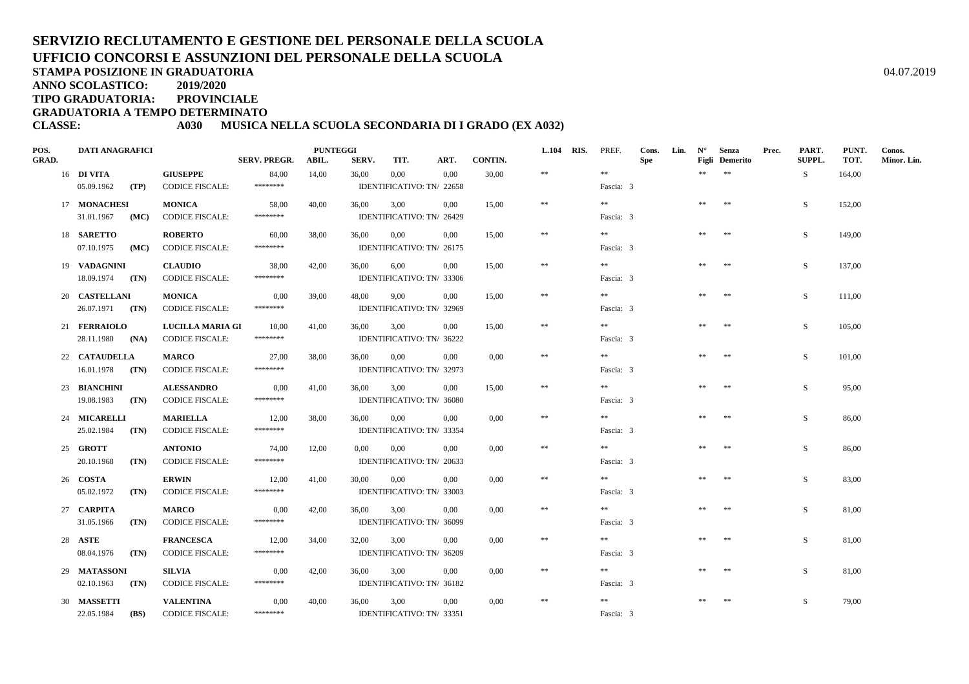# **SERVIZIO RECLUTAMENTO E GESTIONE DEL PERSONALE DELLA SCUOLAUFFICIO CONCORSI E ASSUNZIONI DEL PERSONALE DELLA SCUOLA**

**STAMPA POSIZIONE IN GRADUATORIA**

**ANNO SCOLASTICO:2019/2020**

**TIPO GRADUATORIA: PROVINCIALE**

**GRADUATORIA A TEMPO DETERMINATO**

# **CLASSE: A030 MUSICA NELLA SCUOLA SECONDARIA DI I GRADO (EX A032)**

| POS.         | <b>DATI ANAGRAFICI</b>    |                         |                     | <b>PUNTEGGI</b> |          |                           |          |         | L.104 RIS. | PREF.     | Cons.      | Lin. | $N^{\circ}$ | Senza                 | Prec. | PART.  | PUNT.  | Conos.      |
|--------------|---------------------------|-------------------------|---------------------|-----------------|----------|---------------------------|----------|---------|------------|-----------|------------|------|-------------|-----------------------|-------|--------|--------|-------------|
| <b>GRAD.</b> |                           |                         | <b>SERV. PREGR.</b> | ABIL.           | SERV.    | TIT.                      | ART.     | CONTIN. |            |           | <b>Spe</b> |      |             | <b>Figli</b> Demerito |       | SUPPL. | TOT.   | Minor. Lin. |
|              | 16 DI VITA                | <b>GIUSEPPE</b>         | 84,00               | 14,00           | 36,00    | $0.00\,$                  | 0,00     | 30,00   | $\pm\pm$   | $\pm\pm$  |            |      | $**$        | $\pm\pm$              |       | S      | 164,00 |             |
|              | 05.09.1962<br>(TP)        | <b>CODICE FISCALE:</b>  | ********            |                 |          | IDENTIFICATIVO: TN/ 22658 |          |         |            | Fascia: 3 |            |      |             |                       |       |        |        |             |
|              | 17 MONACHESI              | <b>MONICA</b>           | 58,00               | 40,00           | 36,00    | 3,00                      | $0.00\,$ | 15,00   | $\pm\pm$   | **        |            |      | **          | **                    |       | S      | 152,00 |             |
|              | 31.01.1967<br>(MC)        | <b>CODICE FISCALE:</b>  | ********            |                 |          | IDENTIFICATIVO: TN/ 26429 |          |         |            | Fascia: 3 |            |      |             |                       |       |        |        |             |
|              | 18 SARETTO                | <b>ROBERTO</b>          | 60,00               | 38,00           | 36,00    | 0,00                      | 0,00     | 15,00   | $\ast$     | $\pm\pm$  |            |      | **          | 米米                    |       | S      | 149,00 |             |
|              | 07.10.1975<br>(MC)        | <b>CODICE FISCALE:</b>  | ********            |                 |          | IDENTIFICATIVO: TN/ 26175 |          |         |            | Fascia: 3 |            |      |             |                       |       |        |        |             |
|              | 19 VADAGNINI              | <b>CLAUDIO</b>          | 38,00               | 42,00           | 36,00    | 6.00                      | 0.00     | 15.00   | $\ast$     | $\pm\pm$  |            |      | **          | **                    |       | S      | 137,00 |             |
|              | 18.09.1974<br>(TN)        | <b>CODICE FISCALE:</b>  | ********            |                 |          | IDENTIFICATIVO: TN/ 33306 |          |         |            | Fascia: 3 |            |      |             |                       |       |        |        |             |
|              | 20 CASTELLANI             | <b>MONICA</b>           | 0.00                | 39,00           | 48,00    | 9,00                      | 0.00     | 15.00   | $\ast$     | **        |            |      | $**$        | **                    |       | S      | 111.00 |             |
|              | 26.07.1971 (TN)           | <b>CODICE FISCALE:</b>  | ********            |                 |          | IDENTIFICATIVO: TN/ 32969 |          |         |            | Fascia: 3 |            |      |             |                       |       |        |        |             |
|              | 21 FERRAIOLO              | <b>LUCILLA MARIA GI</b> | 10,00               | 41,00           | 36,00    | 3,00                      | 0.00     | 15,00   | $\ast\ast$ | $\pm\pm$  |            |      | **          | $* *$                 |       | S      | 105,00 |             |
|              | 28.11.1980<br>(NA)        | <b>CODICE FISCALE:</b>  | ********            |                 |          | IDENTIFICATIVO: TN/ 36222 |          |         |            | Fascia: 3 |            |      |             |                       |       |        |        |             |
|              | 22 CATAUDELLA             | <b>MARCO</b>            | 27,00               | 38,00           | 36,00    | 0,00                      | 0.00     | 0,00    | $\ast\ast$ | **        |            |      | **          | **                    |       | S      | 101,00 |             |
|              | $16.01.1978$ (TN)         | <b>CODICE FISCALE:</b>  | ********            |                 |          | IDENTIFICATIVO: TN/ 32973 |          |         |            | Fascia: 3 |            |      |             |                       |       |        |        |             |
|              | 23 BIANCHINI              | <b>ALESSANDRO</b>       | 0,00                | 41,00           | 36,00    | 3,00                      | 0,00     | 15,00   | $\ast\ast$ | $\pm\pm$  |            |      |             | **                    |       | S      | 95,00  |             |
|              | 19.08.1983<br>(TN)        | <b>CODICE FISCALE:</b>  | ********            |                 |          | IDENTIFICATIVO: TN/ 36080 |          |         |            | Fascia: 3 |            |      |             |                       |       |        |        |             |
|              | 24 MICARELLI              | <b>MARIELLA</b>         | 12,00               | 38,00           | 36,00    | $0.00\,$                  | 0.00     | 0,00    | $\ast$     | $\pm\pm$  |            |      | **          | **                    |       | S      | 86,00  |             |
|              | 25.02.1984<br>(TN)        | <b>CODICE FISCALE:</b>  | ********            |                 |          | IDENTIFICATIVO: TN/ 33354 |          |         |            | Fascia: 3 |            |      |             |                       |       |        |        |             |
|              | 25 GROTT                  | <b>ANTONIO</b>          | 74,00               | 12,00           | $0.00\,$ | 0,00                      | 0,00     | 0,00    | $\pm\pm$   | $\pm\pm$  |            |      | $\pm\pm$    | $\pm\pm$              |       | S      | 86,00  |             |
|              | 20.10.1968<br>(TN)        | <b>CODICE FISCALE:</b>  | ********            |                 |          | IDENTIFICATIVO: TN/ 20633 |          |         |            | Fascia: 3 |            |      |             |                       |       |        |        |             |
|              | 26 COSTA                  | <b>ERWIN</b>            | 12,00               | 41,00           | 30,00    | 0,00                      | 0.00     | 0.00    | $\ast\ast$ | **        |            |      | **          | **                    |       | S.     | 83,00  |             |
|              | 05.02.1972<br>(TN)        | <b>CODICE FISCALE:</b>  | ********            |                 |          | IDENTIFICATIVO: TN/ 33003 |          |         |            | Fascia: 3 |            |      |             |                       |       |        |        |             |
|              | 27 CARPITA                | <b>MARCO</b>            | 0,00                | 42,00           | 36,00    | 3,00                      | 0.00     | 0,00    | $\ast\ast$ | $\pm\pm$  |            |      | **          | **                    |       | S      | 81,00  |             |
|              | 31.05.1966<br>(TN)        | <b>CODICE FISCALE:</b>  | ********            |                 |          | IDENTIFICATIVO: TN/ 36099 |          |         |            | Fascia: 3 |            |      |             |                       |       |        |        |             |
|              | 28 ASTE                   | <b>FRANCESCA</b>        | 12,00               | 34,00           | 32,00    | 3,00                      | 0.00     | 0,00    | $\pm\pm$   | $\pm\pm$  |            |      |             | **                    |       | S      | 81,00  |             |
|              | 08.04.1976<br>(TN)        | <b>CODICE FISCALE:</b>  | ********            |                 |          | IDENTIFICATIVO: TN/ 36209 |          |         |            | Fascia: 3 |            |      |             |                       |       |        |        |             |
|              | 29 MATASSONI              | <b>SILVIA</b>           | 0,00                | 42,00           | 36,00    | 3.00                      | 0.00     | 0.00    | $\pm\pm$   | **        |            |      | **          | $\pm\pm$              |       | S      | 81,00  |             |
|              | 02.10.1963<br>(TN)        | <b>CODICE FISCALE:</b>  | ********            |                 |          | IDENTIFICATIVO: TN/ 36182 |          |         |            | Fascia: 3 |            |      |             |                       |       |        |        |             |
|              | 30 MASSETTI               | <b>VALENTINA</b>        | 0,00                | 40,00           | 36,00    | 3,00                      | 0,00     | 0,00    | $\ast\ast$ | $\pm\pm$  |            |      | **          | $\pm\pm$              |       | S      | 79,00  |             |
|              | 22.05.1984<br><b>(BS)</b> | <b>CODICE FISCALE:</b>  | ********            |                 |          | IDENTIFICATIVO: TN/33351  |          |         |            | Fascia: 3 |            |      |             |                       |       |        |        |             |

A  $04.07.2019$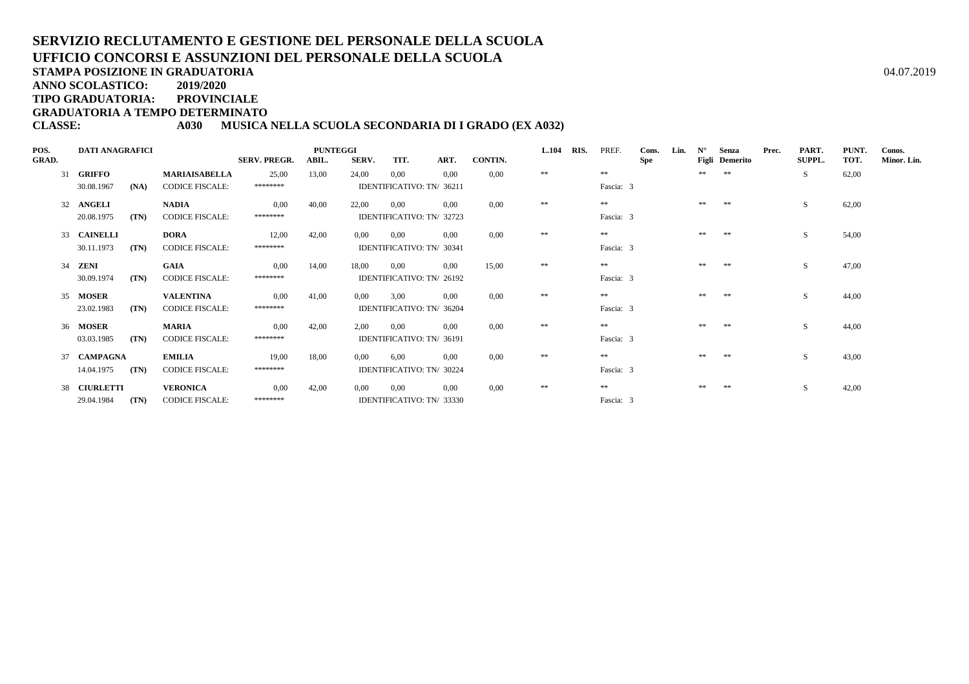# **SERVIZIO RECLUTAMENTO E GESTIONE DEL PERSONALE DELLA SCUOLAUFFICIO CONCORSI E ASSUNZIONI DEL PERSONALE DELLA SCUOLA**

**STAMPA POSIZIONE IN GRADUATORIA**

**ANNO SCOLASTICO:2019/2020**

**TIPO GRADUATORIA: PROVINCIALE**

**GRADUATORIA A TEMPO DETERMINATO**

# **CLASSE: A030 MUSICA NELLA SCUOLA SECONDARIA DI I GRADO (EX A032)**

| POS.<br><b>GRAD.</b> | <b>DATI ANAGRAFICI</b> |      |                        | <b>SERV. PREGR.</b> | <b>PUNTEGGI</b><br>ABIL. | SERV. | TIT.                      | ART.     | CONTIN. | <b>L.104</b> | RIS. | PREF.     | Cons.<br>Spe | Lin. | $N^{\circ}$ | Senza<br>Figli Demerito | Prec. | PART.<br><b>SUPPL.</b> | PUNT.<br>TOT. | Conos.<br>Minor. Lin. |
|----------------------|------------------------|------|------------------------|---------------------|--------------------------|-------|---------------------------|----------|---------|--------------|------|-----------|--------------|------|-------------|-------------------------|-------|------------------------|---------------|-----------------------|
|                      | 31 GRIFFO              |      | <b>MARIAISABELLA</b>   | 25,00               | 13,00                    | 24,00 | 0.00                      | 0.00     | 0.00    | **           |      | **        |              |      | **          | **                      |       | S                      | 62,00         |                       |
|                      | 30.08.1967             | (NA) | <b>CODICE FISCALE:</b> | ********            |                          |       | IDENTIFICATIVO: TN/ 36211 |          |         |              |      | Fascia: 3 |              |      |             |                         |       |                        |               |                       |
|                      | 32 ANGELI              |      | <b>NADIA</b>           | 0,00                | 40,00                    | 22,00 | 0.00                      | 0.00     | 0.00    | $\pm\pm$     |      | **        |              |      | **          | **                      |       | S                      | 62,00         |                       |
|                      | 20.08.1975             | (TN) | <b>CODICE FISCALE:</b> | ********            |                          |       | IDENTIFICATIVO: TN/ 32723 |          |         |              |      | Fascia: 3 |              |      |             |                         |       |                        |               |                       |
|                      | 33 CAINELLI            |      | <b>DORA</b>            | 12,00               | 42,00                    | 0.00  | 0.00                      | 0.00     | 0.00    | **           |      | **        |              |      | **          | **                      |       | S                      | 54,00         |                       |
|                      | 30.11.1973             | (TN) | <b>CODICE FISCALE:</b> | ********            |                          |       | IDENTIFICATIVO: TN/ 30341 |          |         |              |      | Fascia: 3 |              |      |             |                         |       |                        |               |                       |
|                      | 34 <b>ZENI</b>         |      | GAIA                   | 0.00                | 14,00                    | 18,00 | 0.00                      | 0.00     | 15,00   | **           |      | **        |              |      |             | **                      |       | S                      | 47,00         |                       |
|                      | 30.09.1974             | (TN) | <b>CODICE FISCALE:</b> | ********            |                          |       | IDENTIFICATIVO: TN/ 26192 |          |         |              |      | Fascia: 3 |              |      |             |                         |       |                        |               |                       |
|                      | 35 MOSER               |      | <b>VALENTINA</b>       | 0.00                | 41,00                    | 0.00  | 3.00                      | 0.00     | 0.00    | **           |      | **        |              |      | **          | **                      |       | S                      | 44,00         |                       |
|                      | 23.02.1983             | (TN) | <b>CODICE FISCALE:</b> | ********            |                          |       | IDENTIFICATIVO: TN/ 36204 |          |         |              |      | Fascia: 3 |              |      |             |                         |       |                        |               |                       |
|                      | 36 MOSER               |      | <b>MARIA</b>           | 0,00                | 42,00                    | 2,00  | 0.00                      | 0.00     | 0.00    | $\pm\pm$     |      | **        |              |      | **          | **                      |       | S                      | 44,00         |                       |
|                      | 03.03.1985             | (TN) | <b>CODICE FISCALE:</b> | ********            |                          |       | IDENTIFICATIVO: TN/ 36191 |          |         |              |      | Fascia: 3 |              |      |             |                         |       |                        |               |                       |
|                      | 37 CAMPAGNA            |      | <b>EMILIA</b>          | 19,00               | 18,00                    | 0,00  | 6.00                      | 0.00     | 0.00    | **           |      | **        |              |      |             |                         |       | S                      | 43,00         |                       |
|                      | 14.04.1975             | (TN) | <b>CODICE FISCALE:</b> | ********            |                          |       | IDENTIFICATIVO: TN/ 30224 |          |         |              |      | Fascia: 3 |              |      |             |                         |       |                        |               |                       |
|                      | 38 CIURLETTI           |      | <b>VERONICA</b>        | 0.00                | 42,00                    | 0,00  | 0.00                      | $0.00\,$ | 0.00    | **           |      | **        |              |      | **          | **                      |       | S                      | 42,00         |                       |
|                      | 29.04.1984             | (TN) | <b>CODICE FISCALE:</b> | ********            |                          |       | IDENTIFICATIVO: TN/ 33330 |          |         |              |      | Fascia: 3 |              |      |             |                         |       |                        |               |                       |

A  $04.07.2019$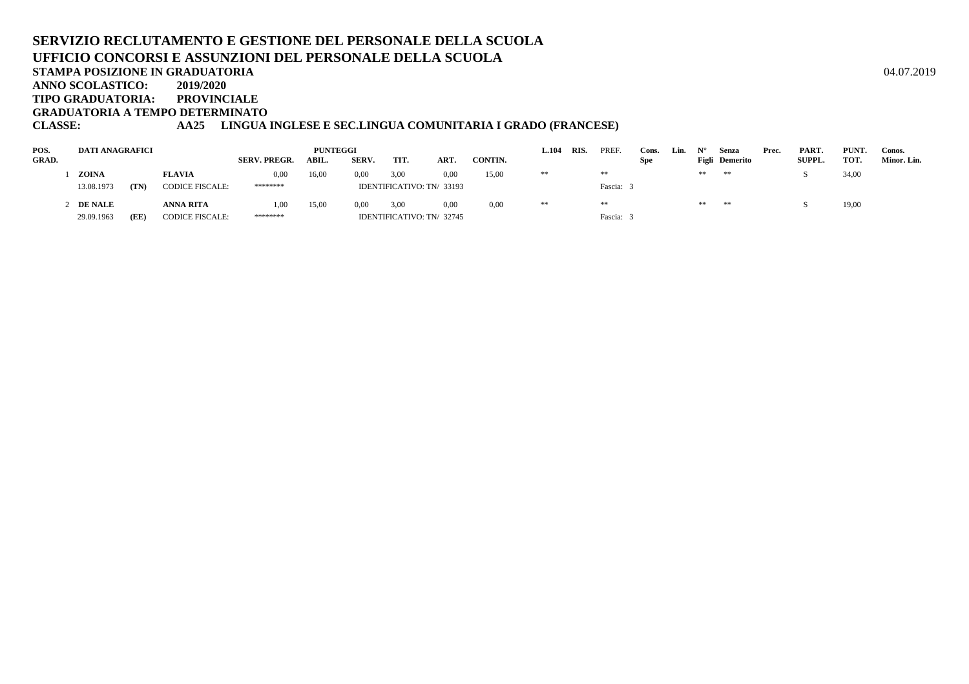# **SERVIZIO RECLUTAMENTO E GESTIONE DEL PERSONALE DELLA SCUOLAUFFICIO CONCORSI E ASSUNZIONI DEL PERSONALE DELLA SCUOLASTAMPA POSIZIONE IN GRADUATORIA**A  $04.07.2019$

**ANNO SCOLASTICO:2019/2020**

**TIPO GRADUATORIA: PROVINCIALE**

**GRADUATORIA A TEMPO DETERMINATO**

# **CLASSE: AA25 LINGUA INGLESE E SEC.LINGUA COMUNITARIA I GRADO (FRANCESE)**

| POS.         | DATI ANAGRAFICI |      |                        |                     | <b>PUNTEGGI</b> |              |      |                           |         | 1.104 | RIS. | PREF.    | Cons.      | Lin. |    | Senza                 | Prec. | PART.         | PUNT. | Conos.      |
|--------------|-----------------|------|------------------------|---------------------|-----------------|--------------|------|---------------------------|---------|-------|------|----------|------------|------|----|-----------------------|-------|---------------|-------|-------------|
| <b>GRAD.</b> |                 |      |                        | <b>SERV. PREGR.</b> | ABIL.           | <b>SERV.</b> | TIT. | ART.                      | CONTIN. |       |      |          | <b>Spe</b> |      |    | <b>Figli</b> Demerito |       | <b>SUPPL.</b> | TOT.  | Minor. Lin. |
|              | ZOINA           |      | <b>FLAVIA</b>          | 0,00                | 16,00           | 0,00         | 3,00 | 0.00                      | 15,00   | **    |      | $\pm\pm$ |            |      | ** | **                    |       |               | 34,00 |             |
|              | 13.08.1973      | (TN) | <b>CODICE FISCALE:</b> | ********            |                 |              |      | IDENTIFICATIVO: TN/33193  |         |       |      | Fascia:  |            |      |    |                       |       |               |       |             |
|              | <b>DE NALE</b>  |      | <b>ANNA RITA</b>       | 1,00                | 15,00           | 0.00         | 3,00 | 0.00                      | 0.00    | **    |      | **       |            |      | ** | **                    |       |               | 19,00 |             |
|              | 29.09.1963      | (EE  | <b>CODICE FISCALE:</b> | ********            |                 |              |      | IDENTIFICATIVO: TN/ 32745 |         |       |      | Fascia:  |            |      |    |                       |       |               |       |             |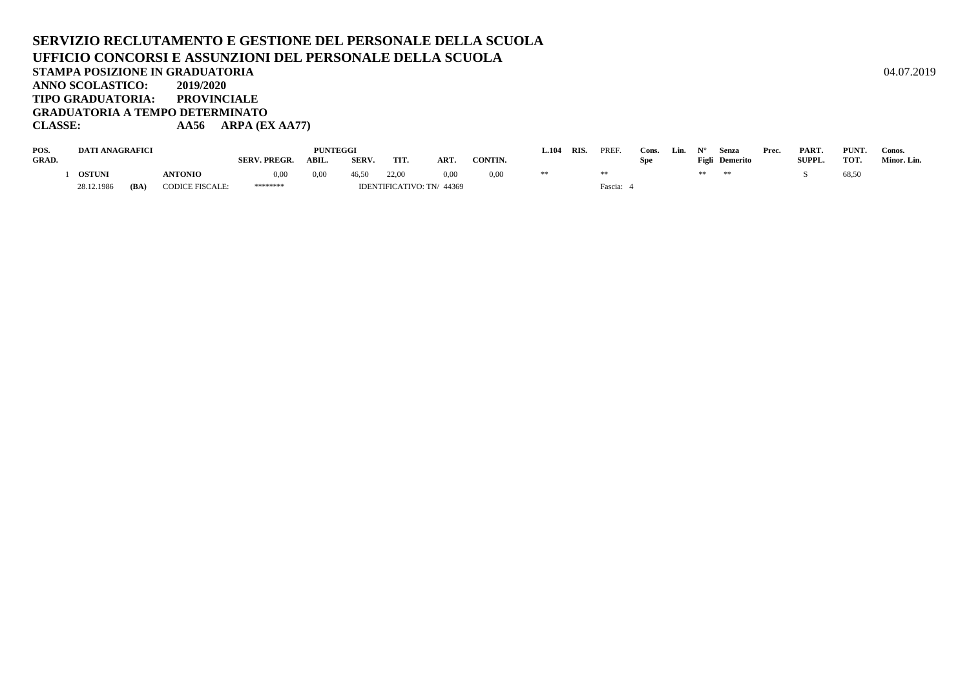## **SERVIZIO RECLUTAMENTO E GESTIONE DEL PERSONALE DELLA SCUOLAUFFICIO CONCORSI E ASSUNZIONI DEL PERSONALE DELLA SCUOLASTAMPA POSIZIONE IN GRADUATORIA**A  $04.07.2019$ **ANNO SCOLASTICO: 2019/2020 TIPO GRADUATORIA: PROVINCIALE GRADUATORIA A TEMPO DETERMINATOCLASSE: AA56 ARPA (EX AA77)**

| POS.         | <b>DATI ANAGRAFICI</b> |      |                        |                     | PUNTEGGI |       |                          |            |         | 104 | <b>RIS</b> | PREF    | Cons. | Lin. |    | Senza          | Prec. | PART.         | PUNT. | Conos.      |
|--------------|------------------------|------|------------------------|---------------------|----------|-------|--------------------------|------------|---------|-----|------------|---------|-------|------|----|----------------|-------|---------------|-------|-------------|
| <b>GRAD.</b> |                        |      |                        | <b>SERV. PREGR.</b> | ABIL.    | SERV. | TIT.                     | <b>ART</b> | CONTIN. |     |            |         | Spe-  |      |    | Figli Demerito |       | <b>SUPPL.</b> | TOT.  | Minor. Lin. |
|              | <b>OSTUN</b>           |      | <b>ANTONIO</b>         | 0.00                | 0,00     | 46.50 | 22,00                    | 0.00       | 0,00    |     |            |         |       |      | ** | **             |       |               | 68,50 |             |
|              | 28.12.1986             | (BA) | <b>CODICE FISCALE:</b> | ********            |          |       | IDENTIFICATIVO: TN/44369 |            |         |     |            | Fascia: |       |      |    |                |       |               |       |             |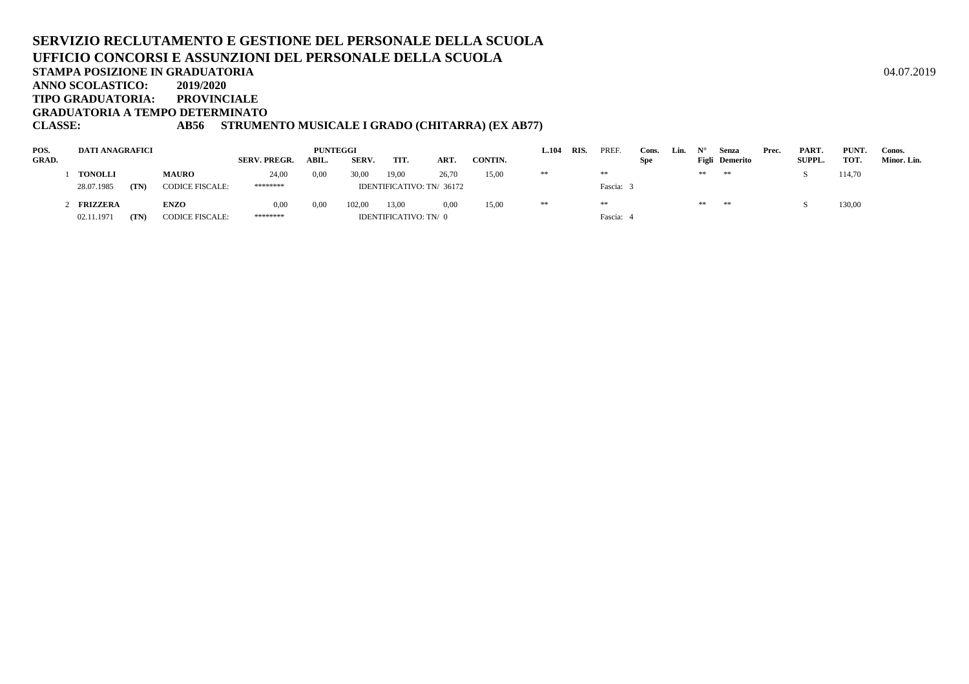### **SERVIZIO RECLUTAMENTO E GESTIONE DEL PERSONALE DELLA SCUOLAUFFICIO CONCORSI E ASSUNZIONI DEL PERSONALE DELLA SCUOLASTAMPA POSIZIONE IN GRADUATORIA**A  $04.07.2019$ **ANNO SCOLASTICO:2019/2020**

**TIPO GRADUATORIA: PROVINCIALE**

**GRADUATORIA A TEMPO DETERMINATO**

# **CLASSE: AB56 STRUMENTO MUSICALE I GRADO (CHITARRA) (EX AB77)**

| POS.  | <b>DATI ANAGRAFICI</b> |      |                        |                     | <b>PUNTEGGI</b> |        |       |                           |         | 1.104 | <b>RIS</b> | PREF    | Cons.      | Lin. |    | Senza                 | Prec. | PART.         | PUNT.  | Conos.      |
|-------|------------------------|------|------------------------|---------------------|-----------------|--------|-------|---------------------------|---------|-------|------------|---------|------------|------|----|-----------------------|-------|---------------|--------|-------------|
| GRAD. |                        |      |                        | <b>SERV. PREGR.</b> | ABIL.           | SERV.  | TIT.  | <b>ART</b>                | CONTIN. |       |            |         | <b>Spe</b> |      |    | <b>Figli</b> Demerito |       | <b>SUPPL.</b> | TOT.   | Minor. Lin. |
|       | <b>TONOLLI</b>         |      | <b>MAURO</b>           | 24,00               | 0,00            | 30.00  | 19,00 | 26,70                     | 15,00   | **    |            | **      |            |      | ** | $* *$                 |       |               | 114,70 |             |
|       | 28.07.1985             | (TN) | <b>CODICE FISCALE:</b> | ********            |                 |        |       | IDENTIFICATIVO: TN/ 36172 |         |       |            | Fascia: |            |      |    |                       |       |               |        |             |
|       | <b>FRIZZERA</b>        |      | <b>ENZO</b>            | 0,00                | 0,00            | 102.00 | 13,00 | 0.00                      | 15,00   | **    |            | **      |            |      | ** | **                    |       |               | 130,00 |             |
|       | 02.11.1971             | (TN) | <b>CODICE FISCALE:</b> | ********            |                 |        |       | IDENTIFICATIVO: TN/0      |         |       |            | Fascia: |            |      |    |                       |       |               |        |             |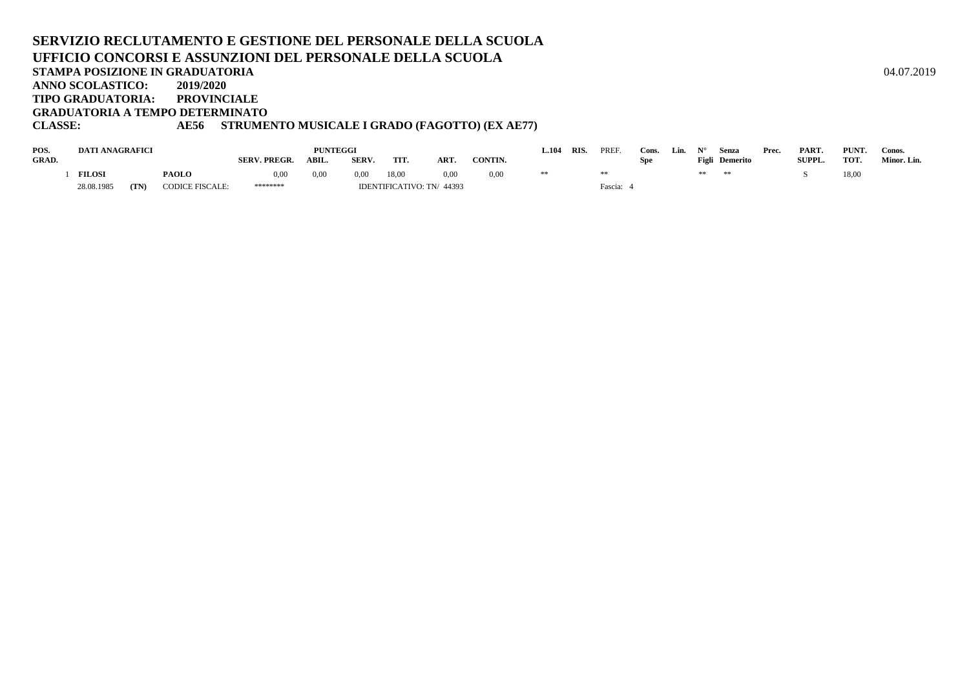## **SERVIZIO RECLUTAMENTO E GESTIONE DEL PERSONALE DELLA SCUOLAUFFICIO CONCORSI E ASSUNZIONI DEL PERSONALE DELLA SCUOLASTAMPA POSIZIONE IN GRADUATORIA**A  $04.07.2019$ **ANNO SCOLASTICO: 2019/2020 TIPO GRADUATORIA: PROVINCIALE GRADUATORIA A TEMPO DETERMINATOCLASSE: AE56 STRUMENTO MUSICALE I GRADO (FAGOTTO) (EX AE77)**

| POS.         | <b>DATI ANAGRAFICI</b> |      |                        |                     | <b>PUNTEGGI</b> |              |                          |      |         | $-.104$ | RIS. | <b>PREF</b> | Cons. | Lin. |    | Senza          | Prec. | PART.         | PUNT. | Conos.      |
|--------------|------------------------|------|------------------------|---------------------|-----------------|--------------|--------------------------|------|---------|---------|------|-------------|-------|------|----|----------------|-------|---------------|-------|-------------|
| <b>GRAD.</b> |                        |      |                        | <b>SERV. PREGR.</b> | ABIL.           | <b>SERV.</b> | TIT                      | ART. | CONTIN. |         |      |             | Spe   |      |    | Figli Demerito |       | <b>SUPPL.</b> | TOT.  | Minor. Lin. |
|              | <b>FILOSI</b>          |      | <b>PAOLO</b>           | 0.00                | 0.00            | 0.00         | 18,00                    | 0,00 | 0,00    |         |      |             |       |      | ** | **             |       |               | 18,00 |             |
|              | 28.08.1985             | (TN) | <b>CODICE FISCALE:</b> | ********            |                 |              | IDENTIFICATIVO: TN/44393 |      |         |         |      | Fascia:     |       |      |    |                |       |               |       |             |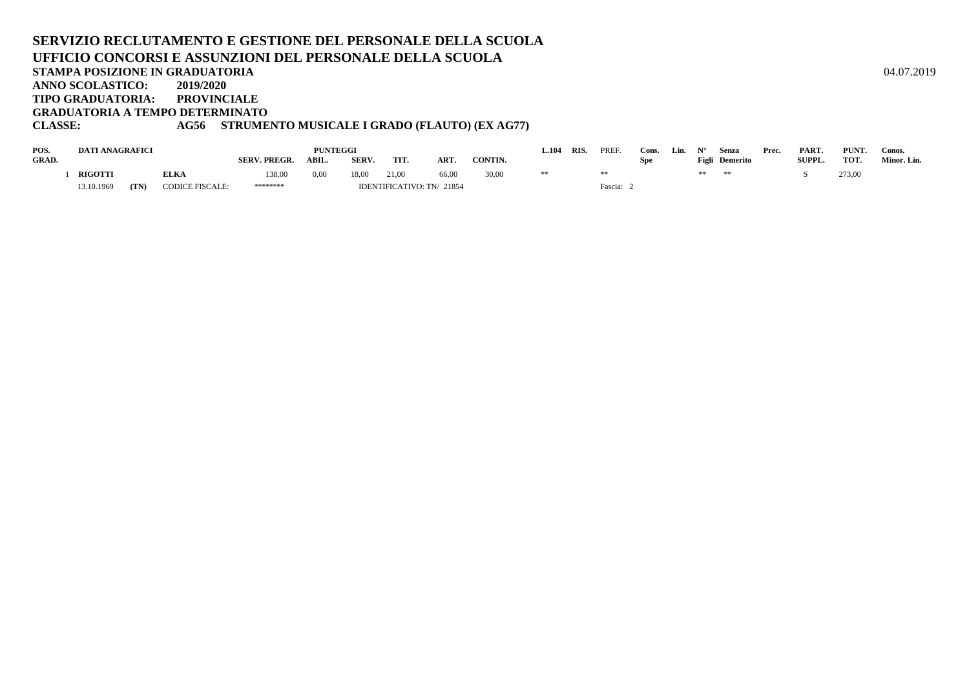## **SERVIZIO RECLUTAMENTO E GESTIONE DEL PERSONALE DELLA SCUOLAUFFICIO CONCORSI E ASSUNZIONI DEL PERSONALE DELLA SCUOLASTAMPA POSIZIONE IN GRADUATORIA**A  $04.07.2019$ **ANNO SCOLASTICO: 2019/2020 TIPO GRADUATORIA: PROVINCIALE GRADUATORIA A TEMPO DETERMINATOCLASSE: AG56 STRUMENTO MUSICALE I GRADO (FLAUTO) (EX AG77)**

| POS.         | <b>DATI ANAGRAFICI</b> |      |                        |                     | <b>PUNTEGGI</b> |       |                           |            |               | .104 | <b>RIS</b> | PREF    | Cons | Lin. |       | Senza    | Prec. | PART.         | PUNT.  | Conos.      |
|--------------|------------------------|------|------------------------|---------------------|-----------------|-------|---------------------------|------------|---------------|------|------------|---------|------|------|-------|----------|-------|---------------|--------|-------------|
| <b>GRAD.</b> |                        |      |                        | <b>SERV. PREGR.</b> | <b>ABIL.</b>    | SERV. | TIT.                      | <b>ART</b> | <b>CONTIN</b> |      |            |         | Spe  |      | Figli | Demerito |       | <b>SUPPL.</b> | TOT.   | Minor. Lin. |
|              | <b>RIGOTTI</b>         |      | <b>ELKA</b>            | 138,00              | 0,00            | 18,00 | 21,00                     | 66,00      | 30,00         |      |            |         |      |      | **    | **       |       |               | 273,00 |             |
|              | 13.10.1969             | (TN) | <b>CODICE FISCALE:</b> | ********            |                 |       | IDENTIFICATIVO: TN/ 21854 |            |               |      |            | Fascia: |      |      |       |          |       |               |        |             |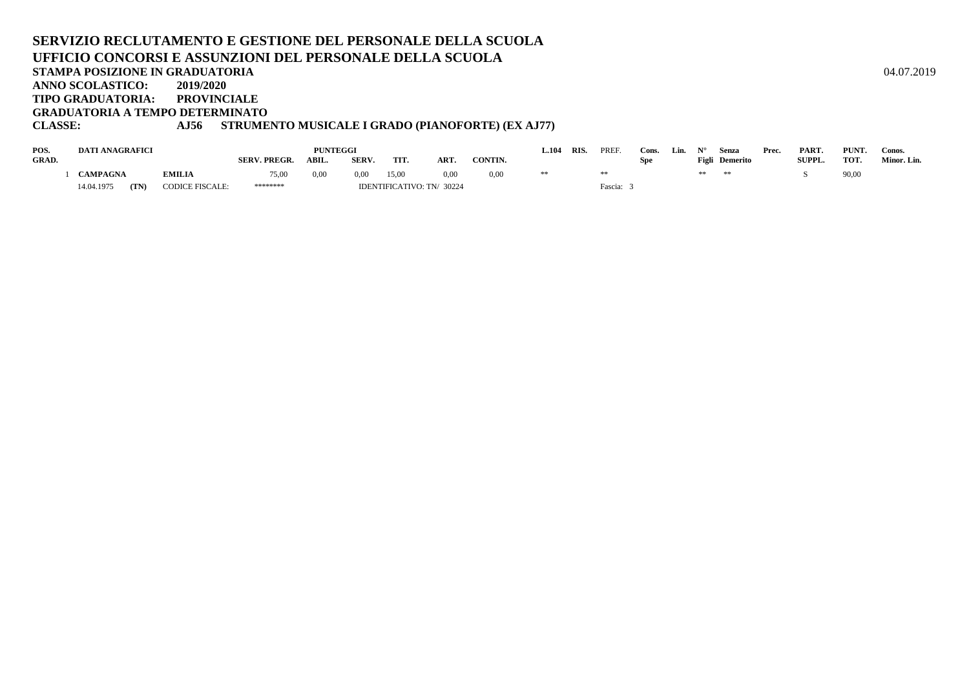#### **SERVIZIO RECLUTAMENTO E GESTIONE DEL PERSONALE DELLA SCUOLAUFFICIO CONCORSI E ASSUNZIONI DEL PERSONALE DELLA SCUOLASTAMPA POSIZIONE IN GRADUATORIA**A  $04.07.2019$ **ANNO SCOLASTICO: 2019/2020PROVINCIALE TIPO GRADUATORIA: GRADUATORIA A TEMPO DETERMINATOCLASSE: AJ56 STRUMENTO MUSICALE I GRADO (PIANOFORTE) (EX AJ77)**

#### **POS. DATI ANAGRAFICI PUNTEGGI L.104RIS.** PREF. Cons. Lin.  $N^{\circ}$  Senza Prec. PART. PUNT. Conos. Spe Figli Demerito SUPPL. TOT. Minor. Lin. **GRAD. SERV. PREGR. ABIL. SERV. TIT. ART. CONTIN. Spe** $F$ **igli Demerito** 1 CAMPAGNA 1 **CAMPAGNA EMILIA** 75,00 0,00 0,00 15,00 0,00 0,00 \*\* \*\* \*\* \*\* \*\* S 90,00 14.04.1975 (TN) **(TN)** CODICE FISCALE: \*\*\*\*\*\*\*\* IDENTIFICATIVO: TN/ <sup>30224</sup> Fascia: 3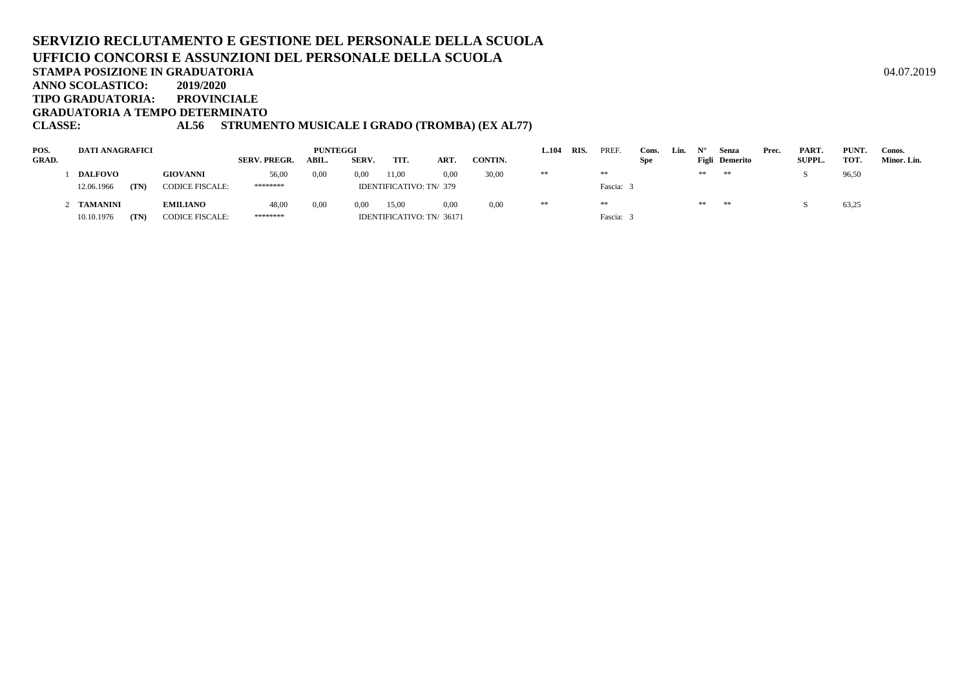#### **SERVIZIO RECLUTAMENTO E GESTIONE DEL PERSONALE DELLA SCUOLAUFFICIO CONCORSI E ASSUNZIONI DEL PERSONALE DELLA SCUOLASTAMPA POSIZIONE IN GRADUATORIA**A  $04.07.2019$ **ANNO SCOLASTICO:2019/2020**

**TIPO GRADUATORIA: PROVINCIALE**

**GRADUATORIA A TEMPO DETERMINATO**

# **CLASSE: AL56 STRUMENTO MUSICALE I GRADO (TROMBA) (EX AL77)**

| POS.         | DATI ANAGRAFICI |      |                        |                     | <b>PUNTEGGI</b> |       |       |                           |         | L.104 | RIS. | PREF.   | Cons.      | Lin. |    | Senza          | Prec. | PART.         | PUNT. | Conos.      |
|--------------|-----------------|------|------------------------|---------------------|-----------------|-------|-------|---------------------------|---------|-------|------|---------|------------|------|----|----------------|-------|---------------|-------|-------------|
| <b>GRAD.</b> |                 |      |                        | <b>SERV. PREGR.</b> | ABIL.           | SERV. | TIT.  | ART.                      | CONTIN. |       |      |         | <b>Spe</b> |      |    | Figli Demerito |       | <b>SUPPL.</b> | TOT.  | Minor. Lin. |
|              | <b>DALFOVO</b>  |      | <b>GIOVANNI</b>        | 56,00               | 0,00            | 0.00  | 11.00 | 0.00 <sub>1</sub>         | 30,00   | **    |      | **      |            |      | ** | **             |       |               | 96,50 |             |
|              | 12.06.1966      | (TN) | <b>CODICE FISCALE:</b> | ********            |                 |       |       | IDENTIFICATIVO: TN/ 379   |         |       |      | Fascia: |            |      |    |                |       |               |       |             |
|              | TAMANINI        |      | <b>EMILIANO</b>        | 48,00               | 0.00            | 0.00  | 15.00 | 0.00                      | 0.00    | **    |      | **      |            |      | ** | **             |       |               | 63,25 |             |
|              | 10.10.1976      | (TN) | <b>CODICE FISCALE:</b> | ********            |                 |       |       | IDENTIFICATIVO: TN/ 36171 |         |       |      | Fascia: |            |      |    |                |       |               |       |             |